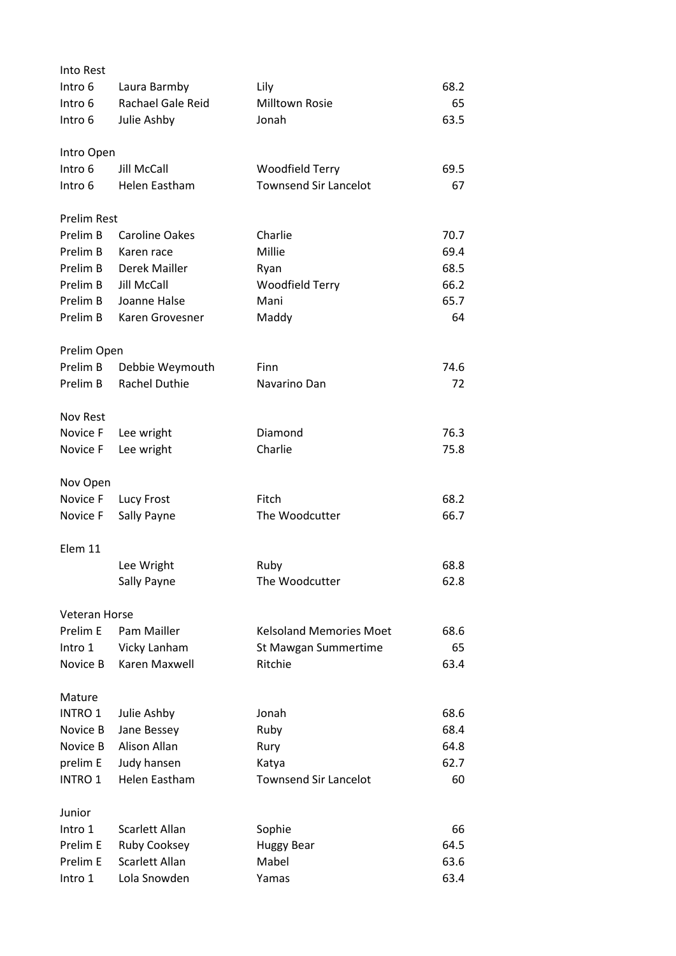| Into Rest            |                       |                                |      |
|----------------------|-----------------------|--------------------------------|------|
| Intro 6              | Laura Barmby          | Lily                           | 68.2 |
| Intro 6              | Rachael Gale Reid     | Milltown Rosie                 | 65   |
| Intro 6              | Julie Ashby           | Jonah                          | 63.5 |
| Intro Open           |                       |                                |      |
| Intro 6              | Jill McCall           | <b>Woodfield Terry</b>         | 69.5 |
| Intro 6              | Helen Eastham         | <b>Townsend Sir Lancelot</b>   | 67   |
| <b>Prelim Rest</b>   |                       |                                |      |
| Prelim B             | <b>Caroline Oakes</b> | Charlie                        | 70.7 |
| Prelim B             | Karen race            | Millie                         | 69.4 |
| Prelim B             | Derek Mailler         | Ryan                           | 68.5 |
| Prelim B             | Jill McCall           | Woodfield Terry                | 66.2 |
| Prelim B             | Joanne Halse          | Mani                           | 65.7 |
| Prelim B             | Karen Grovesner       | Maddy                          | 64   |
| Prelim Open          |                       |                                |      |
| Prelim B             | Debbie Weymouth       | Finn                           | 74.6 |
| Prelim B             | Rachel Duthie         | Navarino Dan                   | 72   |
| Nov Rest             |                       |                                |      |
| Novice F             | Lee wright            | Diamond                        | 76.3 |
| Novice F             | Lee wright            | Charlie                        | 75.8 |
| Nov Open             |                       |                                |      |
| Novice F             | Lucy Frost            | Fitch                          | 68.2 |
| Novice F             | Sally Payne           | The Woodcutter                 | 66.7 |
| Elem 11              |                       |                                |      |
|                      | Lee Wright            | Ruby                           | 68.8 |
|                      | Sally Payne           | The Woodcutter                 | 62.8 |
| <b>Veteran Horse</b> |                       |                                |      |
| Prelim E             | Pam Mailler           | <b>Kelsoland Memories Moet</b> | 68.6 |
| Intro 1              | Vicky Lanham          | St Mawgan Summertime           | 65   |
| Novice B             | Karen Maxwell         | Ritchie                        | 63.4 |
| Mature               |                       |                                |      |
| <b>INTRO 1</b>       | Julie Ashby           | Jonah                          | 68.6 |
| Novice B             | Jane Bessey           | Ruby                           | 68.4 |
| Novice B             | Alison Allan          | Rury                           | 64.8 |
| prelim E             | Judy hansen           | Katya                          | 62.7 |
| INTRO 1              | Helen Eastham         | <b>Townsend Sir Lancelot</b>   | 60   |
| Junior               |                       |                                |      |
| Intro 1              | Scarlett Allan        | Sophie                         | 66   |
| Prelim E             | Ruby Cooksey          | <b>Huggy Bear</b>              | 64.5 |
| Prelim E             | Scarlett Allan        | Mabel                          | 63.6 |
| Intro 1              | Lola Snowden          | Yamas                          | 63.4 |